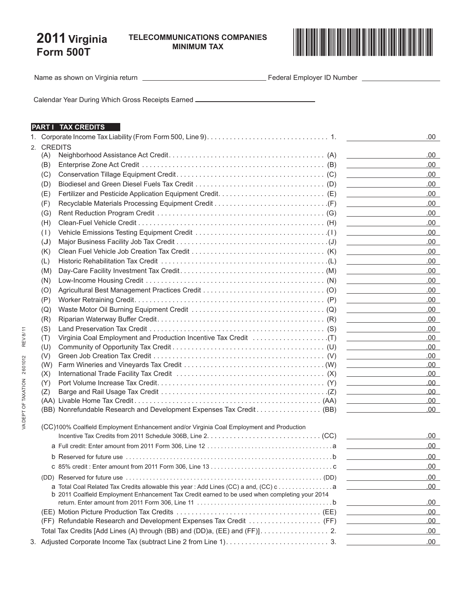## **2011 Virginia Form 500T**

**Minimum Tax**



Name as shown on Virginia return **Figure 2012** Federal Employer ID Number **Figure 2014** 

Calendar Year During Which Gross Receipts Earned

## **PART I TAX CREDITS**

|  |                |                                                                                                | .00                                                                |
|--|----------------|------------------------------------------------------------------------------------------------|--------------------------------------------------------------------|
|  | 2. CREDITS     |                                                                                                |                                                                    |
|  | (A)            |                                                                                                | .00                                                                |
|  | (B)            |                                                                                                | .00.<br>the control of the control of the control of               |
|  | (C)            |                                                                                                | .00<br>the control of the control of the control of the            |
|  | (D)            |                                                                                                | .00                                                                |
|  | (E)            |                                                                                                | .00<br>the control of the control of the control of the control of |
|  | (F)            |                                                                                                | .00<br>the control of the control of the control of the            |
|  | (G)            |                                                                                                | .00                                                                |
|  | (H)            |                                                                                                | .00                                                                |
|  | (1)            |                                                                                                | .00                                                                |
|  | $(\mathsf{U})$ |                                                                                                | .00                                                                |
|  | (K)            |                                                                                                | .00<br><u> 1990 - Johann Barbara, martxa al</u>                    |
|  | (L)            |                                                                                                | .00<br>the control of the control of the control of                |
|  | (M)            |                                                                                                | .00.                                                               |
|  | (N)            |                                                                                                | .00<br>the control of the control of the control of the            |
|  | (O)            |                                                                                                | .00<br>the control of the control of the control of                |
|  | (P)            |                                                                                                | .00                                                                |
|  | (Q)            |                                                                                                | .00<br>the control of the control of the control of                |
|  | (R)            |                                                                                                | .00<br>the control of the control of the control of                |
|  | (S)            |                                                                                                | .00                                                                |
|  | (T)            |                                                                                                | .00                                                                |
|  | (U)            |                                                                                                | .00                                                                |
|  | (V)            |                                                                                                | .00                                                                |
|  | (W)            |                                                                                                | .00                                                                |
|  | (X)            |                                                                                                | .00<br><u> 1989 - Johann Barn, mars ann an t-Amhain ann an t-</u>  |
|  | (Y)            |                                                                                                | .00<br>the control of the control of the control of the            |
|  | (Z)            |                                                                                                | .00.<br><u> 1989 - Johann Stein, fransk politik (</u>              |
|  |                |                                                                                                | .00<br>the control of the control of the control of the            |
|  |                | (BB) Nonrefundable Research and Development Expenses Tax Credit (BB)                           | .00                                                                |
|  |                |                                                                                                |                                                                    |
|  |                | (CC)100% Coalfield Employment Enhancement and/or Virginia Coal Employment and Production       |                                                                    |
|  |                |                                                                                                | .00.                                                               |
|  |                |                                                                                                | 00.                                                                |
|  |                |                                                                                                | .00.                                                               |
|  |                |                                                                                                | .00                                                                |
|  |                |                                                                                                | .00                                                                |
|  |                |                                                                                                | .00                                                                |
|  |                | b 2011 Coalfield Employment Enhancement Tax Credit earned to be used when completing your 2014 |                                                                    |
|  |                |                                                                                                | .00<br>the control of the control of the                           |
|  |                |                                                                                                | .00<br><u> 1989 - Johann Barbara, martxa a</u>                     |
|  |                | (FF) Refundable Research and Development Expenses Tax Credit  (FF)                             | .00                                                                |
|  |                | Total Tax Credits [Add Lines (A) through (BB) and (DD)a, (EE) and (FF)]. 2.                    | .00<br>the control of the control of the control of                |
|  |                |                                                                                                | .00                                                                |